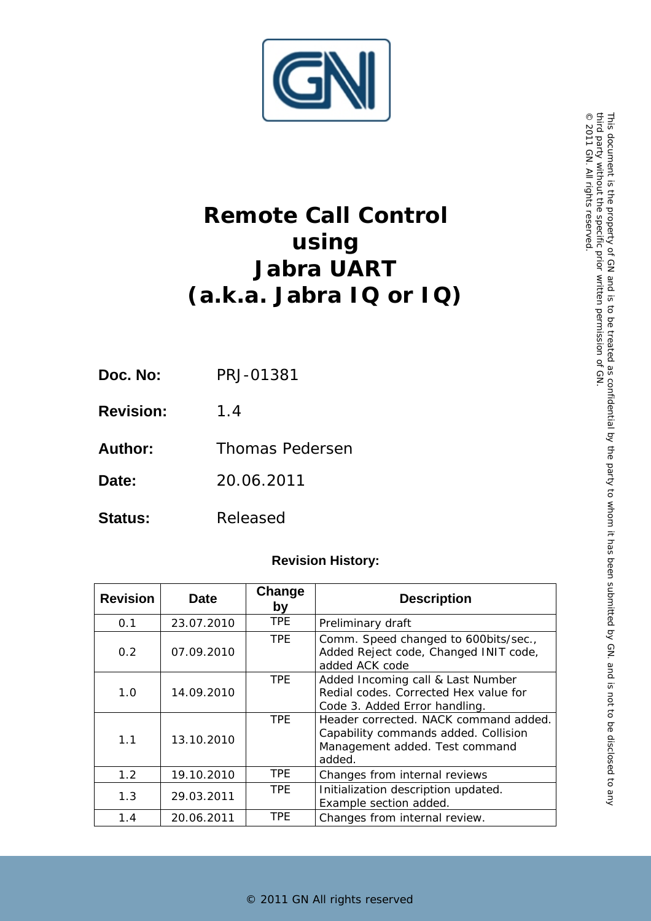

# **Remote Call Control using Jabra UART (a.k.a. Jabra IQ or IQ)**

- **Doc. No:** PRJ-01381
- **Revision:** 1.4
- Author: Thomas Pedersen
- **Date:** 20.06.2011
- Status: Released

# **Revision History:**

| <b>Revision</b>  | <b>Date</b> | Change<br>by | <b>Description</b>                                                                                                        |
|------------------|-------------|--------------|---------------------------------------------------------------------------------------------------------------------------|
| 0.1              | 23.07.2010  | TPE.         | Preliminary draft                                                                                                         |
| 0.2              | 07.09.2010  | TPE.         | Comm. Speed changed to 600bits/sec.,<br>Added Reject code, Changed INIT code,<br>added ACK code                           |
| 1.0              | 14.09.2010  | TPF          | Added Incoming call & Last Number<br>Redial codes. Corrected Hex value for<br>Code 3. Added Error handling.               |
| 1.1              | 13.10.2010  | <b>TPE</b>   | Header corrected. NACK command added.<br>Capability commands added. Collision<br>Management added. Test command<br>added. |
| 1.2 <sub>2</sub> | 19.10.2010  | TPE.         | Changes from internal reviews                                                                                             |
| 1.3              | 29.03.2011  | TPE.         | Initialization description updated.<br>Example section added.                                                             |
| 1.4              | 20.06.2011  | TPE.         | Changes from internal review.                                                                                             |

© 2011 GN

. All rights reserved.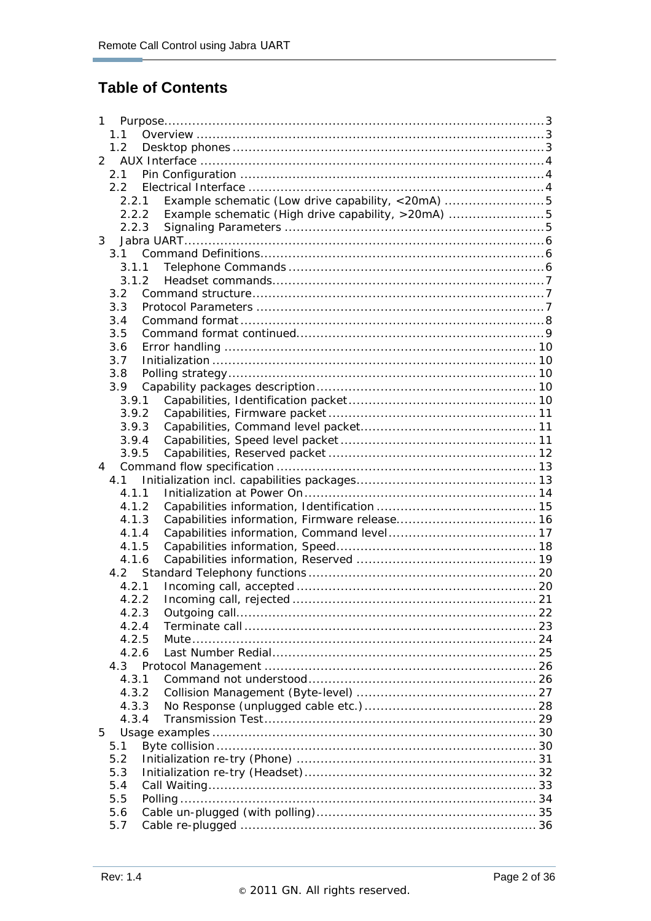# **Table of Contents**

| 1.1<br>1.2<br>$\overline{2}$<br>2.1<br>2.2<br>Example schematic (Low drive capability, <20mA) 5<br>2.2.1<br>2.2.2 Example schematic (High drive capability, >20mA) 5<br>2.2.3<br>3<br>3.1<br>3.1.1<br>3.1.2<br>3.2<br>3.3<br>3.4<br>3.5<br>3.6<br>3.7<br>3.8<br>3.9<br>3.9.1<br>3.9.2<br>3.9.3<br>3.9.4<br>3.9.5<br>4<br>4.1.1<br>4.1.2<br>4.1.3<br>4.1.4<br>4.1.5<br>4.1.6<br>4.2.1<br>4.2.2<br>4.2.3<br>4.2.4<br>4.2.5<br>4.2.6<br>4.3.1<br>4.3.2<br>4.3.3<br>4.3.4<br>5<br>5.1 |
|-----------------------------------------------------------------------------------------------------------------------------------------------------------------------------------------------------------------------------------------------------------------------------------------------------------------------------------------------------------------------------------------------------------------------------------------------------------------------------------|
|                                                                                                                                                                                                                                                                                                                                                                                                                                                                                   |
|                                                                                                                                                                                                                                                                                                                                                                                                                                                                                   |
|                                                                                                                                                                                                                                                                                                                                                                                                                                                                                   |
|                                                                                                                                                                                                                                                                                                                                                                                                                                                                                   |
|                                                                                                                                                                                                                                                                                                                                                                                                                                                                                   |
|                                                                                                                                                                                                                                                                                                                                                                                                                                                                                   |
|                                                                                                                                                                                                                                                                                                                                                                                                                                                                                   |
|                                                                                                                                                                                                                                                                                                                                                                                                                                                                                   |
|                                                                                                                                                                                                                                                                                                                                                                                                                                                                                   |
|                                                                                                                                                                                                                                                                                                                                                                                                                                                                                   |
|                                                                                                                                                                                                                                                                                                                                                                                                                                                                                   |
|                                                                                                                                                                                                                                                                                                                                                                                                                                                                                   |
|                                                                                                                                                                                                                                                                                                                                                                                                                                                                                   |
|                                                                                                                                                                                                                                                                                                                                                                                                                                                                                   |
|                                                                                                                                                                                                                                                                                                                                                                                                                                                                                   |
|                                                                                                                                                                                                                                                                                                                                                                                                                                                                                   |
|                                                                                                                                                                                                                                                                                                                                                                                                                                                                                   |
|                                                                                                                                                                                                                                                                                                                                                                                                                                                                                   |
|                                                                                                                                                                                                                                                                                                                                                                                                                                                                                   |
|                                                                                                                                                                                                                                                                                                                                                                                                                                                                                   |
|                                                                                                                                                                                                                                                                                                                                                                                                                                                                                   |
|                                                                                                                                                                                                                                                                                                                                                                                                                                                                                   |
|                                                                                                                                                                                                                                                                                                                                                                                                                                                                                   |
|                                                                                                                                                                                                                                                                                                                                                                                                                                                                                   |
|                                                                                                                                                                                                                                                                                                                                                                                                                                                                                   |
|                                                                                                                                                                                                                                                                                                                                                                                                                                                                                   |
|                                                                                                                                                                                                                                                                                                                                                                                                                                                                                   |
|                                                                                                                                                                                                                                                                                                                                                                                                                                                                                   |
|                                                                                                                                                                                                                                                                                                                                                                                                                                                                                   |
|                                                                                                                                                                                                                                                                                                                                                                                                                                                                                   |
|                                                                                                                                                                                                                                                                                                                                                                                                                                                                                   |
|                                                                                                                                                                                                                                                                                                                                                                                                                                                                                   |
|                                                                                                                                                                                                                                                                                                                                                                                                                                                                                   |
|                                                                                                                                                                                                                                                                                                                                                                                                                                                                                   |
|                                                                                                                                                                                                                                                                                                                                                                                                                                                                                   |
|                                                                                                                                                                                                                                                                                                                                                                                                                                                                                   |
|                                                                                                                                                                                                                                                                                                                                                                                                                                                                                   |
|                                                                                                                                                                                                                                                                                                                                                                                                                                                                                   |
|                                                                                                                                                                                                                                                                                                                                                                                                                                                                                   |
|                                                                                                                                                                                                                                                                                                                                                                                                                                                                                   |
|                                                                                                                                                                                                                                                                                                                                                                                                                                                                                   |
|                                                                                                                                                                                                                                                                                                                                                                                                                                                                                   |
|                                                                                                                                                                                                                                                                                                                                                                                                                                                                                   |
|                                                                                                                                                                                                                                                                                                                                                                                                                                                                                   |
|                                                                                                                                                                                                                                                                                                                                                                                                                                                                                   |
| 5.2                                                                                                                                                                                                                                                                                                                                                                                                                                                                               |
| 5.3                                                                                                                                                                                                                                                                                                                                                                                                                                                                               |
| 5.4                                                                                                                                                                                                                                                                                                                                                                                                                                                                               |
|                                                                                                                                                                                                                                                                                                                                                                                                                                                                                   |
|                                                                                                                                                                                                                                                                                                                                                                                                                                                                                   |
| 5.5<br>5.6                                                                                                                                                                                                                                                                                                                                                                                                                                                                        |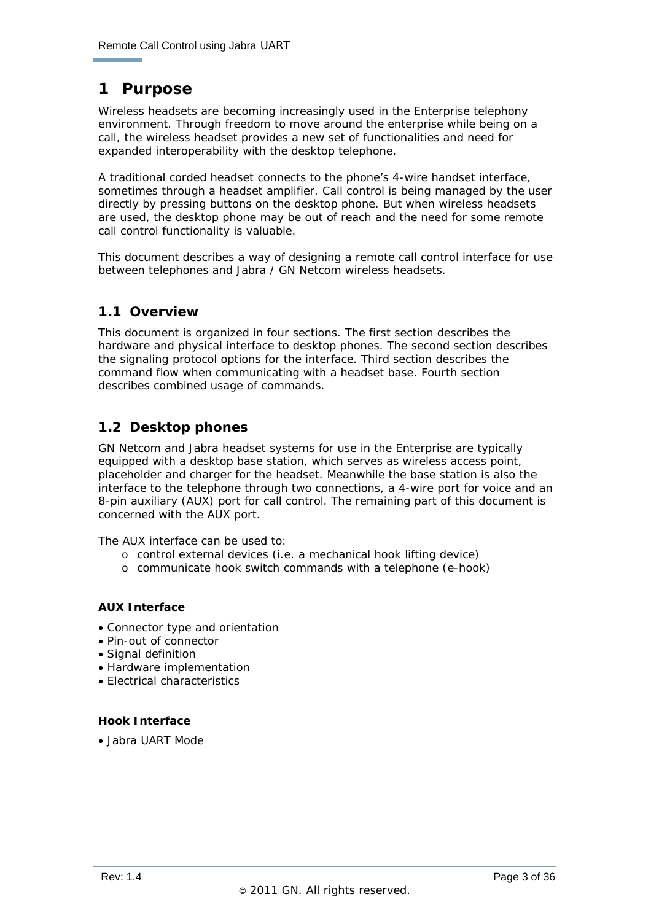# **1 Purpose**

ł

Wireless headsets are becoming increasingly used in the Enterprise telephony environment. Through freedom to move around the enterprise while being on a call, the wireless headset provides a new set of functionalities and need for expanded interoperability with the desktop telephone.

A traditional corded headset connects to the phone's 4-wire handset interface, sometimes through a headset amplifier. Call control is being managed by the user directly by pressing buttons on the desktop phone. But when wireless headsets are used, the desktop phone may be out of reach and the need for some remote call control functionality is valuable.

This document describes a way of designing a remote call control interface for use between telephones and Jabra / GN Netcom wireless headsets.

#### **1.1 Overview**

This document is organized in four sections. The first section describes the hardware and physical interface to desktop phones. The second section describes the signaling protocol options for the interface. Third section describes the command flow when communicating with a headset base. Fourth section describes combined usage of commands.

## **1.2 Desktop phones**

GN Netcom and Jabra headset systems for use in the Enterprise are typically equipped with a desktop base station, which serves as wireless access point, placeholder and charger for the headset. Meanwhile the base station is also the interface to the telephone through two connections, a 4-wire port for voice and an 8-pin auxiliary (AUX) port for call control. The remaining part of this document is concerned with the AUX port.

The AUX interface can be used to:

- o control external devices (i.e. a mechanical hook lifting device)
- o communicate hook switch commands with a telephone (e-hook)

#### **AUX Interface**

- Connector type and orientation
- Pin-out of connector
- Signal definition
- Hardware implementation
- Electrical characteristics

#### **Hook Interface**

• Jabra UART Mode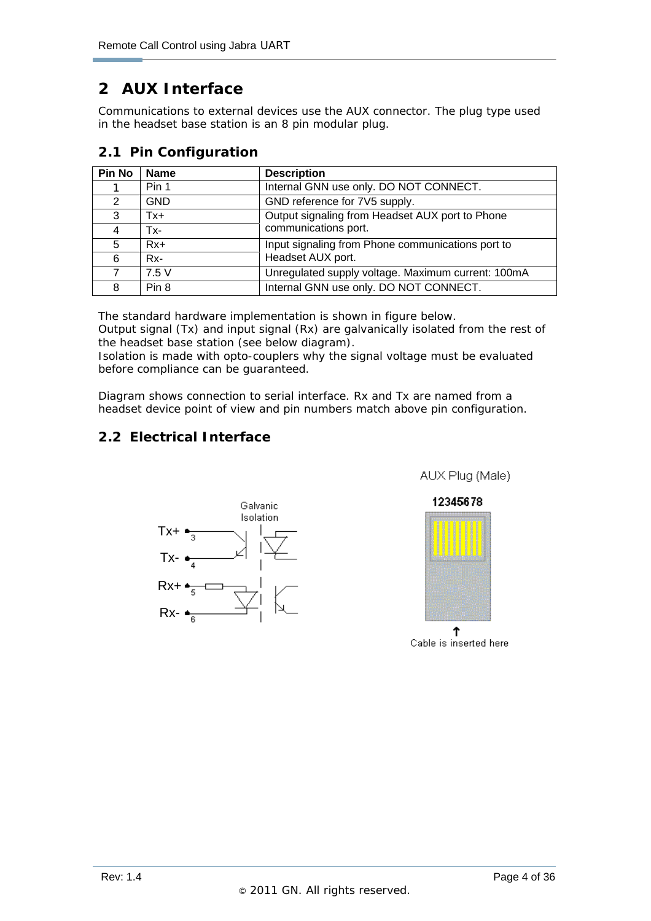# **2 AUX Interface**

ł

Communications to external devices use the AUX connector. The plug type used in the headset base station is an 8 pin modular plug.

#### **2.1 Pin Configuration**

| <b>Pin No</b> | <b>Name</b> | <b>Description</b>                                 |
|---------------|-------------|----------------------------------------------------|
|               | Pin 1       | Internal GNN use only. DO NOT CONNECT.             |
| 2             | <b>GND</b>  | GND reference for 7V5 supply.                      |
| 3             | Tx+         | Output signaling from Headset AUX port to Phone    |
| 4             | Tx-         | communications port.                               |
| 5             | $Rx+$       | Input signaling from Phone communications port to  |
| 6             | Rx-         | Headset AUX port.                                  |
|               | 7.5V        | Unregulated supply voltage. Maximum current: 100mA |
| 8             | Pin 8       | Internal GNN use only. DO NOT CONNECT.             |

The standard hardware implementation is shown in figure below.

Output signal (Tx) and input signal (Rx) are galvanically isolated from the rest of the headset base station (see below diagram).

Isolation is made with opto-couplers why the signal voltage must be evaluated before compliance can be guaranteed.

Diagram shows connection to serial interface. Rx and Tx are named from a headset device point of view and pin numbers match above pin configuration.

# **2.2 Electrical Interface**



AUX Plug (Male)



Cable is inserted here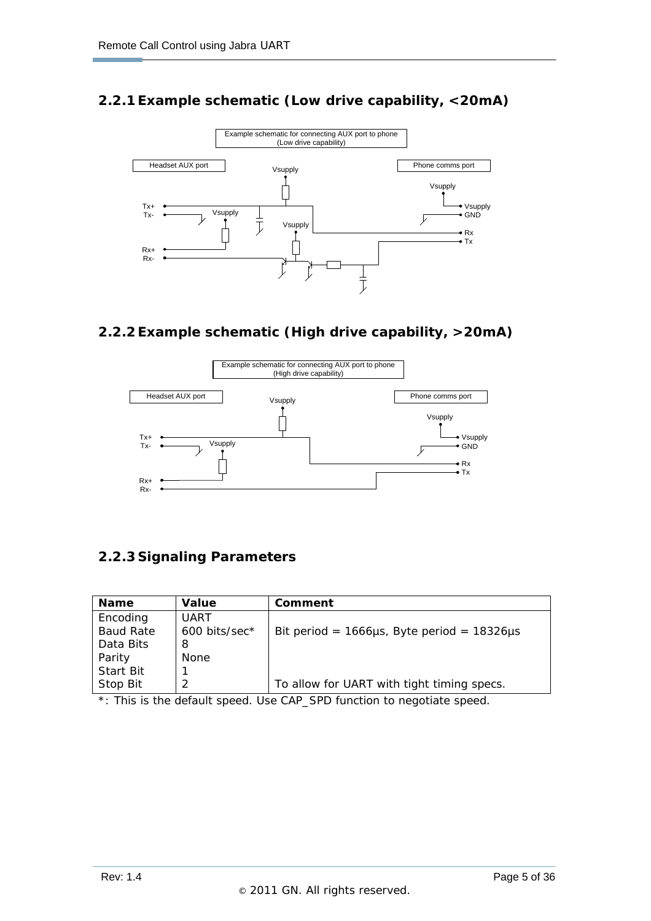# **2.2.1 Example schematic (Low drive capability, <20mA)**



## **2.2.2 Example schematic (High drive capability, >20mA)**



#### **2.2.3 Signaling Parameters**

| <b>Name</b>      | Value         | Comment                                               |
|------------------|---------------|-------------------------------------------------------|
| Encoding         | <b>UART</b>   |                                                       |
| <b>Baud Rate</b> | 600 bits/sec* | Bit period = $1666\mu s$ , Byte period = $18326\mu s$ |
| Data Bits        | 8             |                                                       |
| Parity           | <b>None</b>   |                                                       |
| <b>Start Bit</b> |               |                                                       |
| Stop Bit         |               | To allow for UART with tight timing specs.            |

\*: This is the default speed. Use CAP\_SPD function to negotiate speed.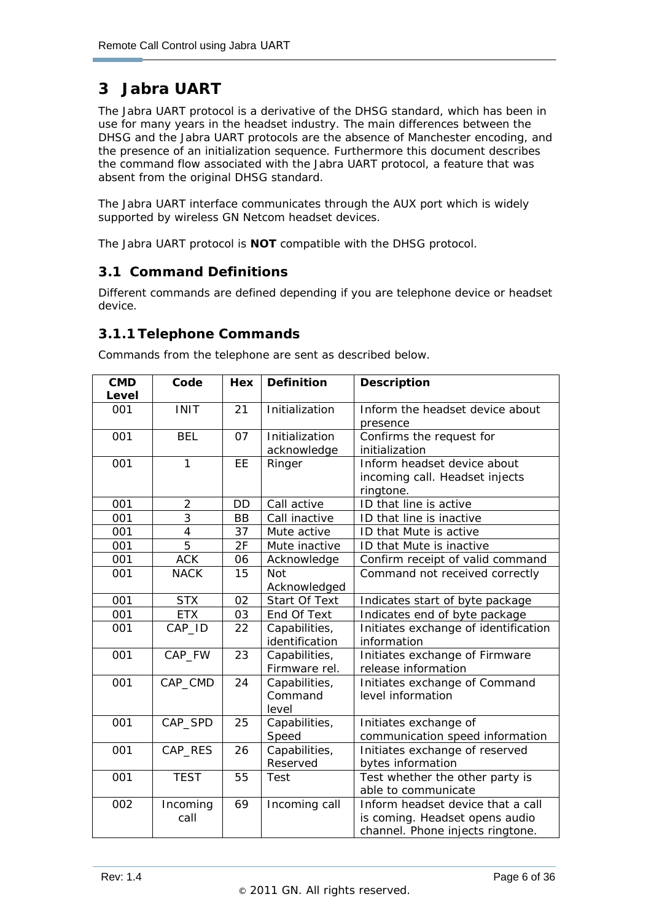# **3 Jabra UART**

ł

The Jabra UART protocol is a derivative of the DHSG standard, which has been in use for many years in the headset industry. The main differences between the DHSG and the Jabra UART protocols are the absence of Manchester encoding, and the presence of an initialization sequence. Furthermore this document describes the command flow associated with the Jabra UART protocol, a feature that was absent from the original DHSG standard.

The Jabra UART interface communicates through the AUX port which is widely supported by wireless GN Netcom headset devices.

The Jabra UART protocol is **NOT** compatible with the DHSG protocol.

## **3.1 Command Definitions**

Different commands are defined depending if you are telephone device or headset device.

## **3.1.1 Telephone Commands**

| <b>CMD</b> | Code                     | Hex       | <b>Definition</b> | <b>Description</b>                   |
|------------|--------------------------|-----------|-------------------|--------------------------------------|
| Level      |                          |           |                   |                                      |
| 001        | <b>INIT</b>              | 21        | Initialization    | Inform the headset device about      |
|            |                          |           |                   | presence                             |
| 001        | <b>BEL</b>               | 07        | Initialization    | Confirms the request for             |
|            |                          |           | acknowledge       | initialization                       |
| 001        | $\mathbf{1}$             | EE        | Ringer            | Inform headset device about          |
|            |                          |           |                   | incoming call. Headset injects       |
|            |                          |           |                   | ringtone.                            |
| 001        | $\overline{2}$           | DD        | Call active       | ID that line is active               |
| 001        | $\overline{3}$           | <b>BB</b> | Call inactive     | ID that line is inactive             |
| 001        | $\overline{\mathcal{A}}$ | 37        | Mute active       | ID that Mute is active               |
| 001        | $\overline{5}$           | 2F        | Mute inactive     | ID that Mute is inactive             |
| 001        | <b>ACK</b>               | 06        | Acknowledge       | Confirm receipt of valid command     |
| 001        | <b>NACK</b>              | 15        | <b>Not</b>        | Command not received correctly       |
|            |                          |           | Acknowledged      |                                      |
| 001        | <b>STX</b>               | 02        | Start Of Text     | Indicates start of byte package      |
| 001        | <b>ETX</b>               | 03        | End Of Text       | Indicates end of byte package        |
| 001        | CAP_ID                   | 22        | Capabilities,     | Initiates exchange of identification |
|            |                          |           | identification    | information                          |
| 001        | CAP_FW                   | 23        | Capabilities,     | Initiates exchange of Firmware       |
|            |                          |           | Firmware rel.     | release information                  |
| 001        | CAP_CMD                  | 24        | Capabilities,     | Initiates exchange of Command        |
|            |                          |           | Command           | level information                    |
|            |                          |           | level             |                                      |
| 001        | CAP_SPD                  | 25        | Capabilities,     | Initiates exchange of                |
|            |                          |           | Speed             | communication speed information      |
| 001        | CAP_RES                  | 26        | Capabilities,     | Initiates exchange of reserved       |
|            |                          |           | Reserved          | bytes information                    |
| 001        | <b>TEST</b>              | 55        | Test              | Test whether the other party is      |
|            |                          |           |                   | able to communicate                  |
| 002        | Incoming                 | 69        | Incoming call     | Inform headset device that a call    |
|            | call                     |           |                   | is coming. Headset opens audio       |
|            |                          |           |                   | channel. Phone injects ringtone.     |

Commands from the telephone are sent as described below.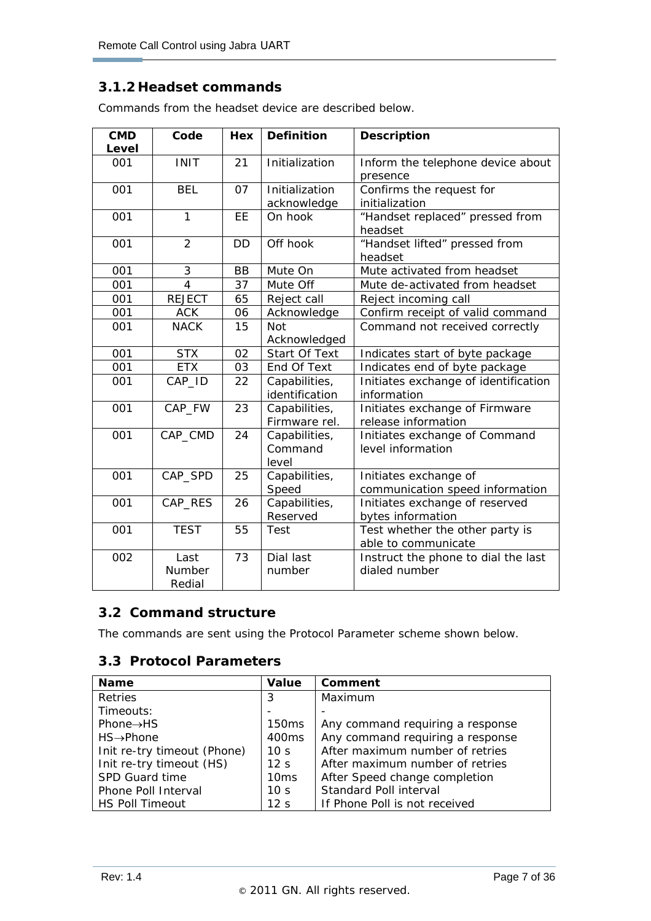### **3.1.2 Headset commands**

ł

Commands from the headset device are described below.

| <b>CMD</b><br>Level | Code                     | Hex       | <b>Definition</b>                 | <b>Description</b>                                       |  |
|---------------------|--------------------------|-----------|-----------------------------------|----------------------------------------------------------|--|
| 001                 | <b>INIT</b>              | 21        | Initialization                    | Inform the telephone device about<br>presence            |  |
| 001                 | <b>BEL</b>               | 07        | Initialization<br>acknowledge     | Confirms the request for<br>initialization               |  |
| 001                 | $\mathbf{1}$             | EE        | On hook                           | "Handset replaced" pressed from<br>headset               |  |
| 001                 | $\overline{2}$           | <b>DD</b> | Off hook                          | "Handset lifted" pressed from<br>headset                 |  |
| 001                 | 3                        | <b>BB</b> | Mute On                           | Mute activated from headset                              |  |
| 001                 | $\overline{4}$           | 37        | Mute Off                          | Mute de-activated from headset                           |  |
| 001                 | <b>REJECT</b>            | 65        | Reject call                       | Reject incoming call                                     |  |
| 001                 | <b>ACK</b>               | 06        | Acknowledge                       | Confirm receipt of valid command                         |  |
| 001                 | <b>NACK</b>              | 15        | <b>Not</b><br>Acknowledged        | Command not received correctly                           |  |
| 001                 | <b>STX</b>               | 02        | Start Of Text                     | Indicates start of byte package                          |  |
| 001                 | <b>ETX</b>               | 03        | End Of Text                       | Indicates end of byte package                            |  |
| 001                 | CAP_ID                   | 22        | Capabilities,<br>identification   | Initiates exchange of identification<br>information      |  |
| 001                 | CAP_FW                   | 23        | Capabilities,<br>Firmware rel.    | Initiates exchange of Firmware<br>release information    |  |
| 001                 | CAP_CMD                  | 24        | Capabilities,<br>Command<br>level | Initiates exchange of Command<br>level information       |  |
| 001                 | CAP_SPD                  | 25        | Capabilities,<br>Speed            | Initiates exchange of<br>communication speed information |  |
| 001                 | CAP_RES                  | 26        | Capabilities,<br>Reserved         | Initiates exchange of reserved<br>bytes information      |  |
| 001                 | <b>TEST</b>              | 55        | Test                              | Test whether the other party is<br>able to communicate   |  |
| 002                 | Last<br>Number<br>Redial | 73        | Dial last<br>number               | Instruct the phone to dial the last<br>dialed number     |  |

#### **3.2 Command structure**

The commands are sent using the Protocol Parameter scheme shown below.

#### **3.3 Protocol Parameters**

| <b>Name</b>                 | Value             | Comment                          |
|-----------------------------|-------------------|----------------------------------|
| <b>Retries</b>              | 3                 | Maximum                          |
| Timeouts:                   |                   |                                  |
| Phone $\rightarrow$ HS      | 150ms             | Any command requiring a response |
| $HS \rightarrow$ Phone      | 400 <sub>ms</sub> | Any command requiring a response |
| Init re-try timeout (Phone) | 10 <sub>s</sub>   | After maximum number of retries  |
| Init re-try timeout (HS)    | 12 <sub>S</sub>   | After maximum number of retries  |
| SPD Guard time              | 10ms              | After Speed change completion    |
| Phone Poll Interval         | 10 <sub>s</sub>   | Standard Poll interval           |
| <b>HS Poll Timeout</b>      | 12 <sub>s</sub>   | If Phone Poll is not received    |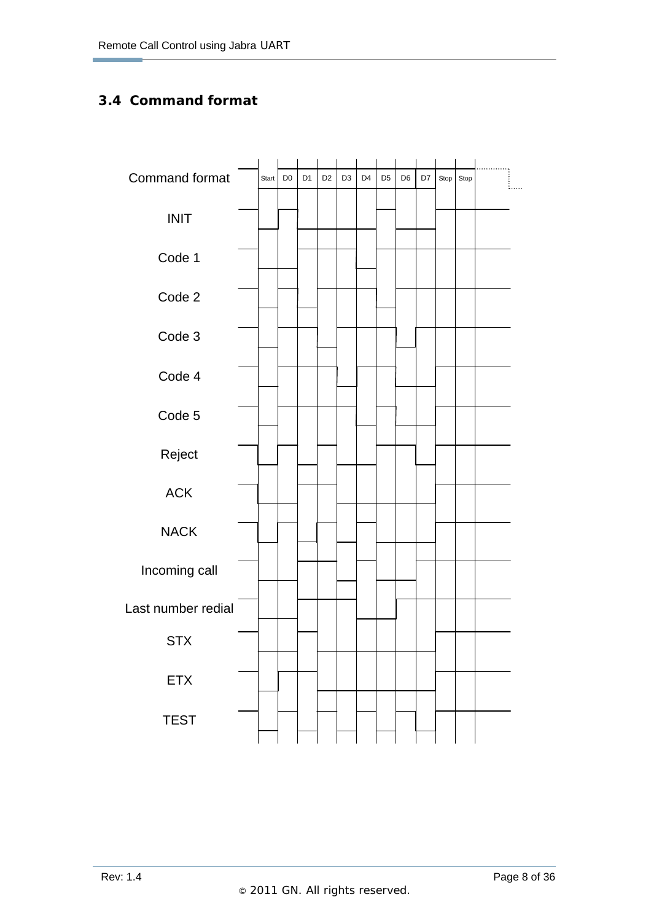# **3.4 Command format**

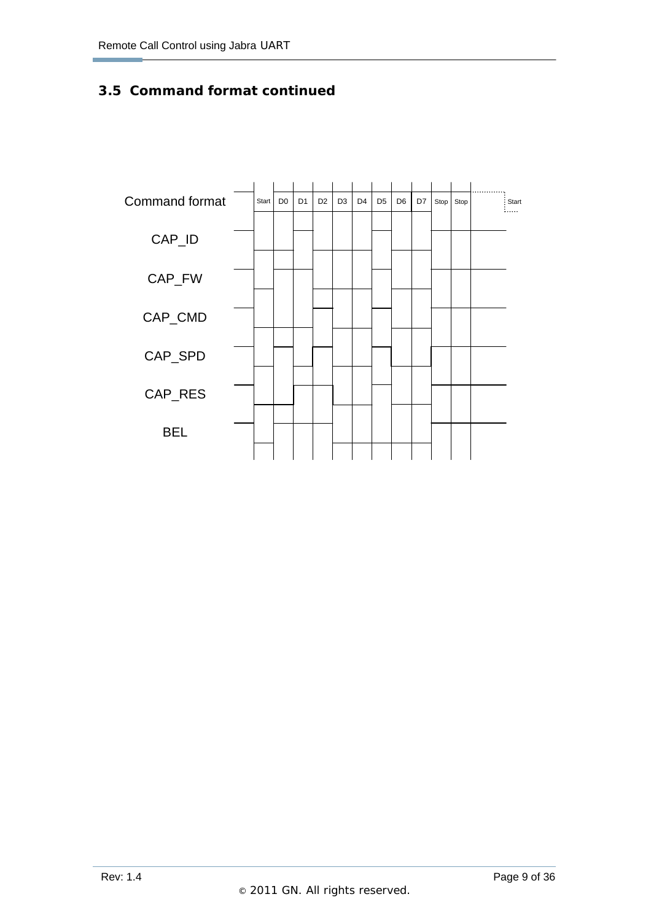# **3.5 Command format continued**

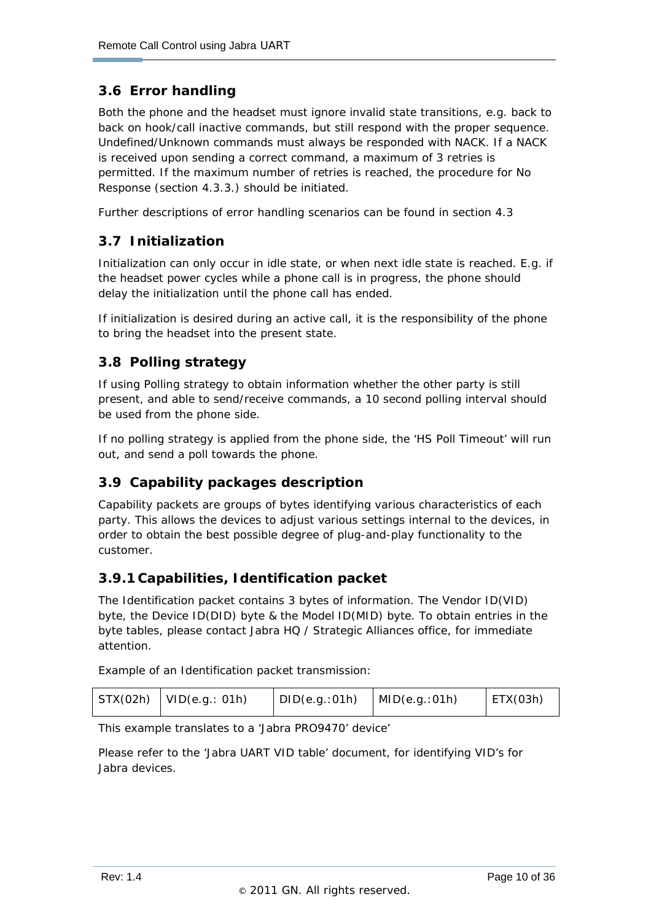# **3.6 Error handling**

ł

Both the phone and the headset must ignore invalid state transitions, e.g. back to back on hook/call inactive commands, but still respond with the proper sequence. Undefined/Unknown commands must always be responded with NACK. If a NACK is received upon sending a correct command, a maximum of 3 retries is permitted. If the maximum number of retries is reached, the procedure for No Response (section 4.3.3.) should be initiated.

Further descriptions of error handling scenarios can be found in section 4.3

## **3.7 Initialization**

Initialization can only occur in idle state, or when next idle state is reached. E.g. if the headset power cycles while a phone call is in progress, the phone should delay the initialization until the phone call has ended.

If initialization is desired during an active call, it is the responsibility of the phone to bring the headset into the present state.

# **3.8 Polling strategy**

If using Polling strategy to obtain information whether the other party is still present, and able to send/receive commands, a 10 second polling interval should be used from the phone side.

If no polling strategy is applied from the phone side, the 'HS Poll Timeout' will run out, and send a poll towards the phone.

# **3.9 Capability packages description**

Capability packets are groups of bytes identifying various characteristics of each party. This allows the devices to adjust various settings internal to the devices, in order to obtain the best possible degree of plug-and-play functionality to the customer.

#### **3.9.1 Capabilities, Identification packet**

The Identification packet contains 3 bytes of information. The Vendor ID(VID) byte, the Device ID(DID) byte & the Model ID(MID) byte. To obtain entries in the byte tables, please contact Jabra HQ / Strategic Alliances office, for immediate attention.

Example of an Identification packet transmission:

| STX(02h) | $ $ VID(e.g.: 01h) | DID(e.g.:01h) | MID(e.g.:01h) | ETX(03h) |
|----------|--------------------|---------------|---------------|----------|
|----------|--------------------|---------------|---------------|----------|

This example translates to a 'Jabra PRO9470' device'

Please refer to the 'Jabra UART VID table' document, for identifying VID's for Jabra devices.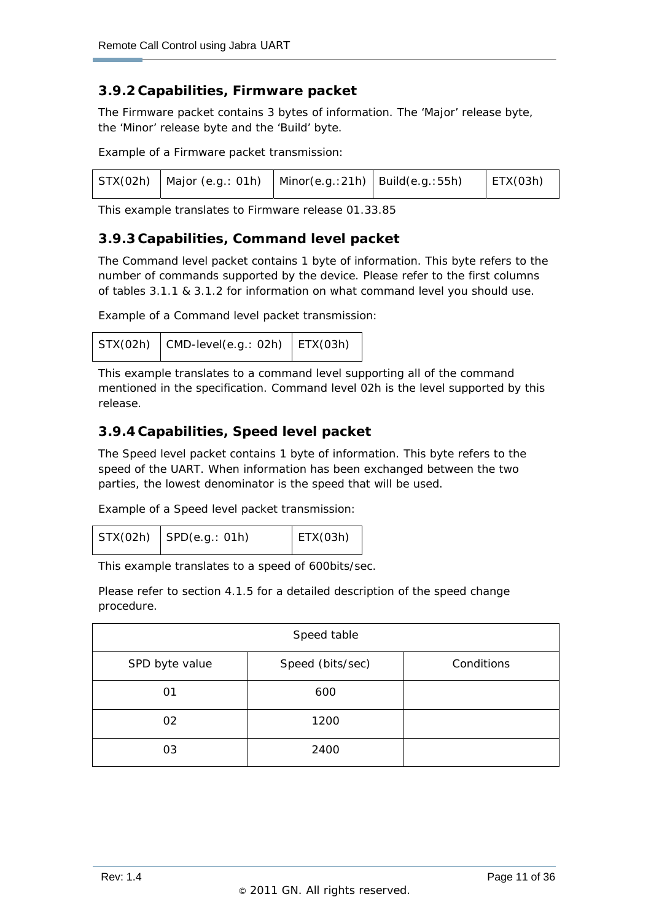#### **3.9.2 Capabilities, Firmware packet**

The Firmware packet contains 3 bytes of information. The 'Major' release byte, the 'Minor' release byte and the 'Build' byte.

Example of a Firmware packet transmission:

|  | $STX(02h)$   Major (e.g.: 01h)   Minor(e.g.:21h)   Build(e.g.:55h) |  |  | ETX(03h) |
|--|--------------------------------------------------------------------|--|--|----------|
|--|--------------------------------------------------------------------|--|--|----------|

This example translates to Firmware release 01.33.85

#### **3.9.3 Capabilities, Command level packet**

The Command level packet contains 1 byte of information. This byte refers to the number of commands supported by the device. Please refer to the first columns of tables 3.1.1 & 3.1.2 for information on what command level you should use.

Example of a Command level packet transmission:

```
STX(02h) CMD-level(e.g.: 02h) ETX(03h)
```
This example translates to a command level supporting all of the command mentioned in the specification. Command level 02h is the level supported by this release.

#### **3.9.4 Capabilities, Speed level packet**

The Speed level packet contains 1 byte of information. This byte refers to the speed of the UART. When information has been exchanged between the two parties, the lowest denominator is the speed that will be used.

Example of a Speed level packet transmission:

|  | $STX(02h)$ SPD $(e.g.: 01h)$ | ETX(03h) |  |
|--|------------------------------|----------|--|
|--|------------------------------|----------|--|

This example translates to a speed of 600bits/sec.

Please refer to section 4.1.5 for a detailed description of the speed change procedure.

| Speed table    |                  |            |  |
|----------------|------------------|------------|--|
| SPD byte value | Speed (bits/sec) | Conditions |  |
| 01             | 600              |            |  |
| 02             | 1200             |            |  |
| 03             | 2400             |            |  |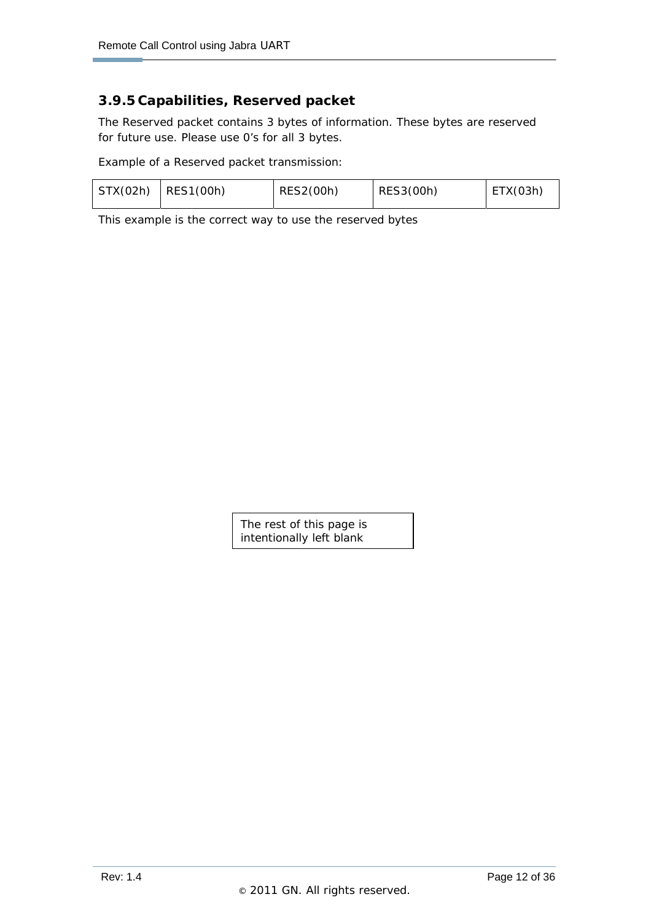#### **3.9.5 Capabilities, Reserved packet**

The Reserved packet contains 3 bytes of information. These bytes are reserved for future use. Please use 0's for all 3 bytes.

Example of a Reserved packet transmission:

|  | $STX(02h)$ RES1(00h) | RES2(00h) | RES3(00h) | ETX(03h) |
|--|----------------------|-----------|-----------|----------|
|--|----------------------|-----------|-----------|----------|

This example is the correct way to use the reserved bytes

The rest of this page is intentionally left blank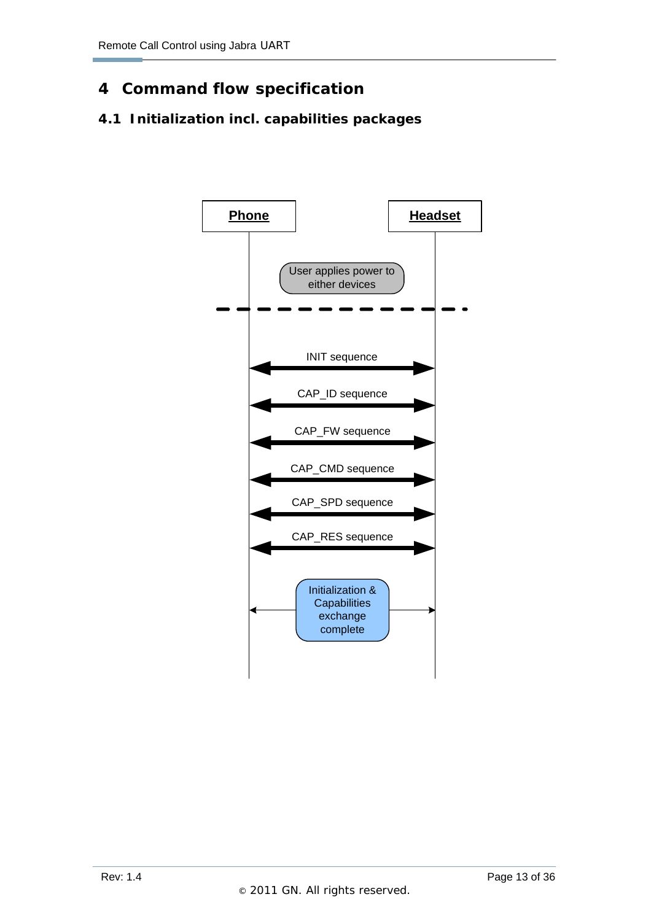# **4 Command flow specification**

# **4.1 Initialization incl. capabilities packages**

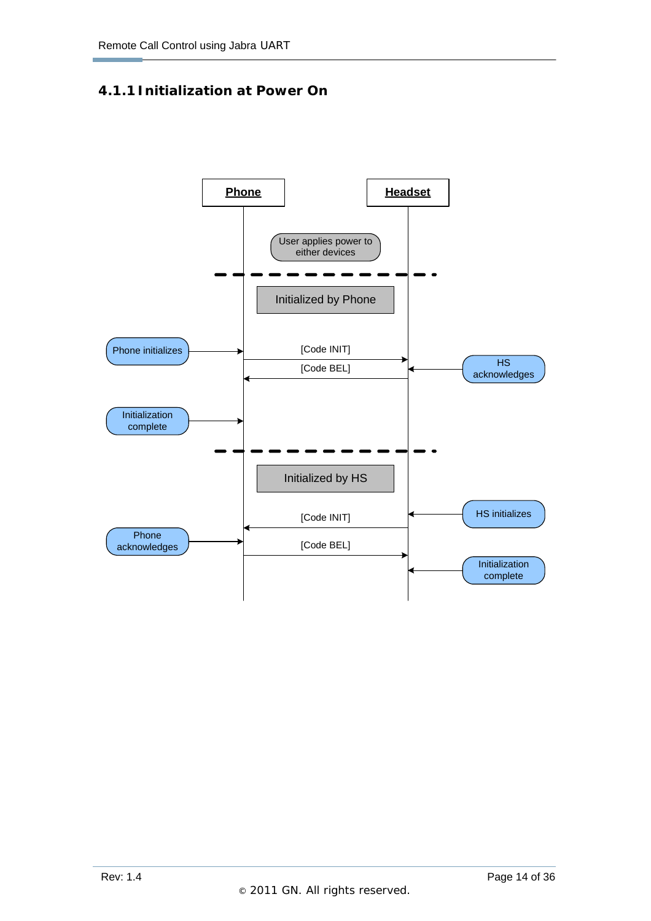#### **4.1.1 Initialization at Power On**

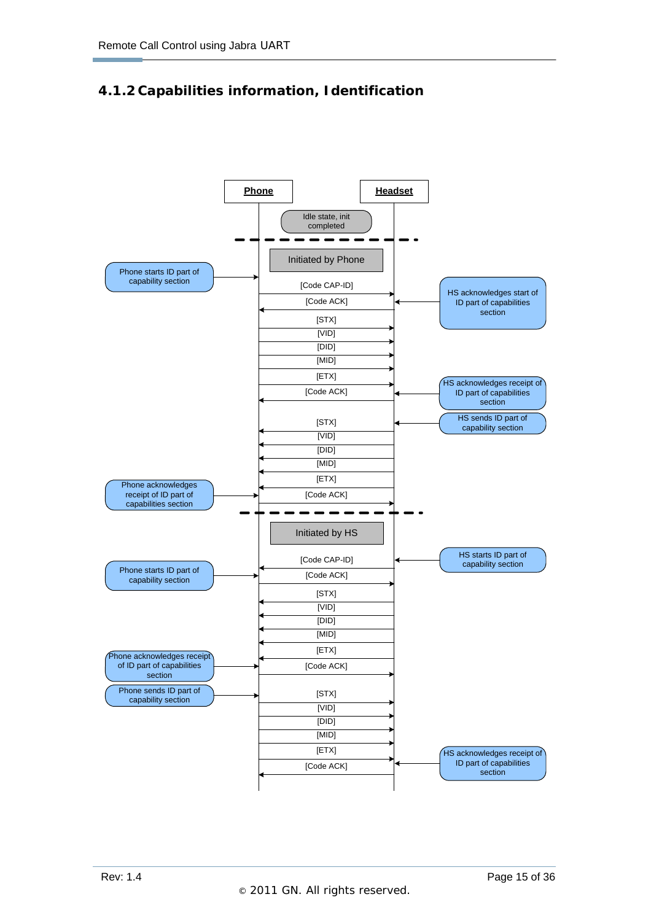# **4.1.2 Capabilities information, Identification**

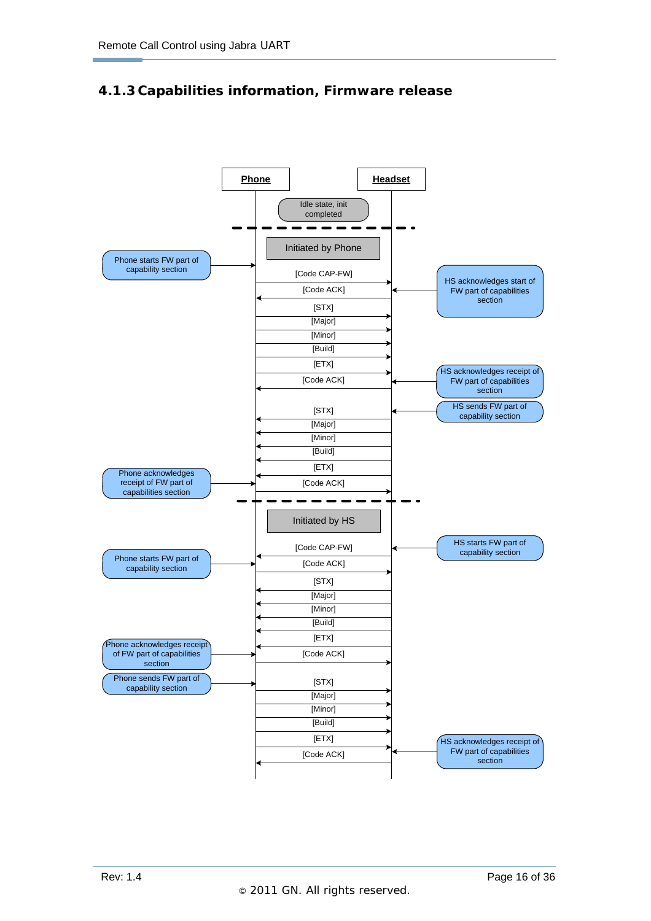## **4.1.3 Capabilities information, Firmware release**

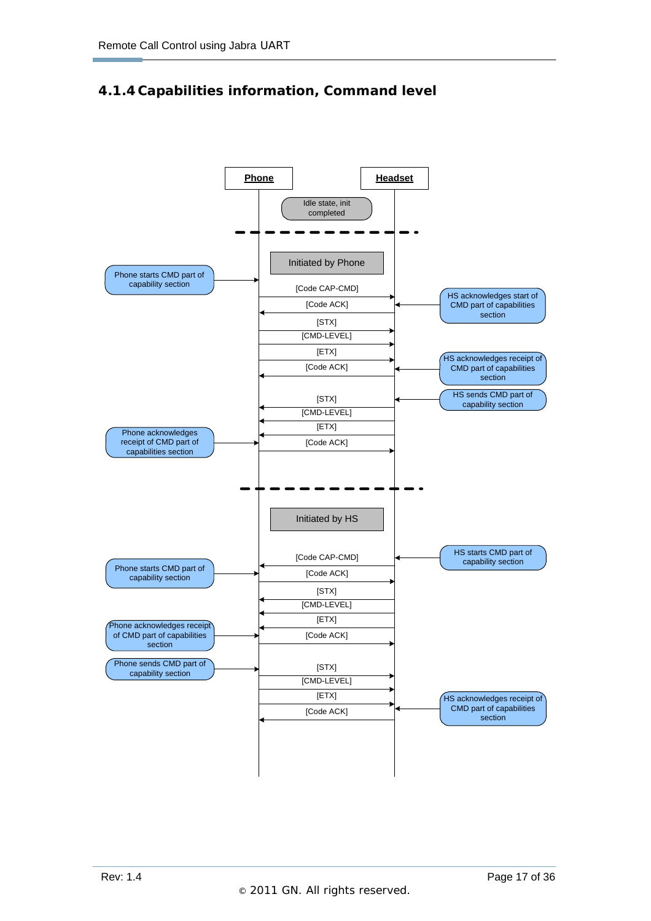# **4.1.4 Capabilities information, Command level**

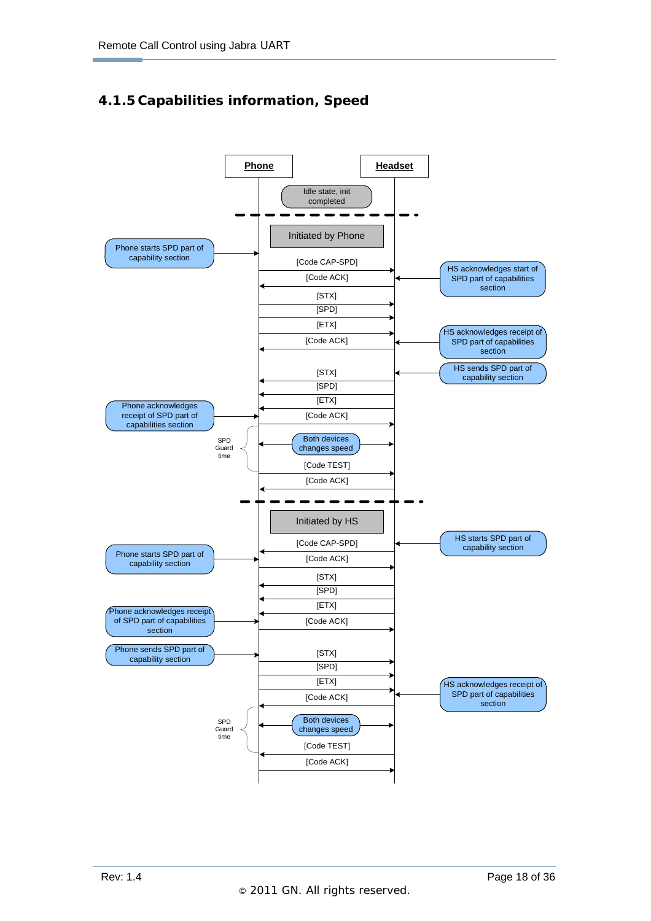# **4.1.5 Capabilities information, Speed**

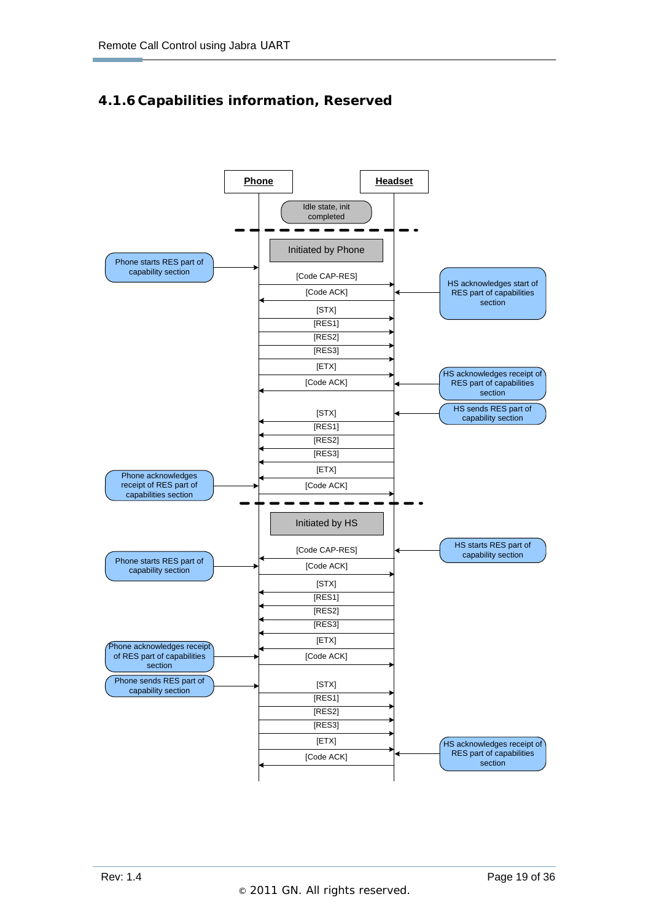# **4.1.6 Capabilities information, Reserved**

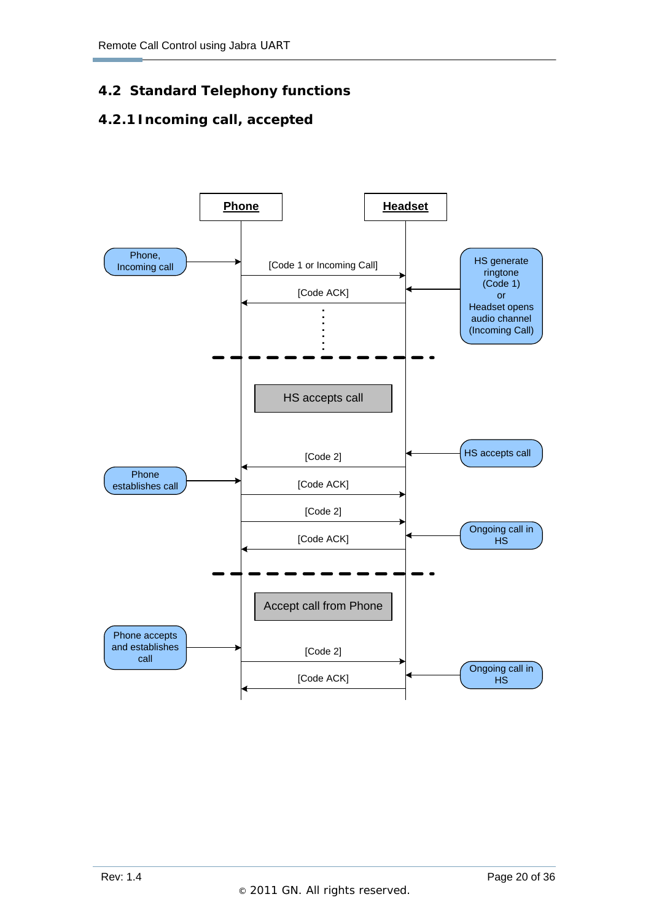# **4.2 Standard Telephony functions**

# **4.2.1 Incoming call, accepted**

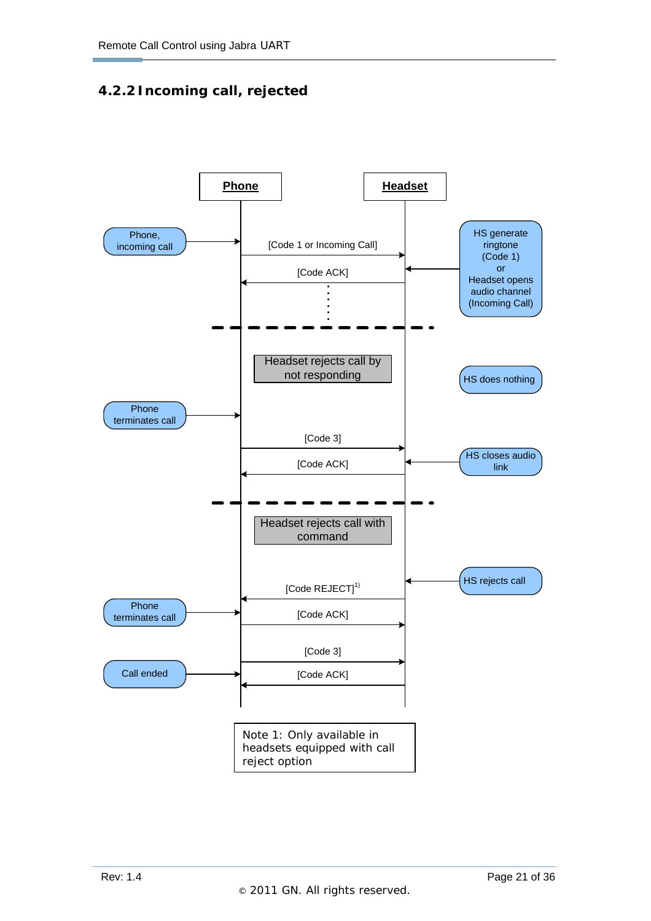## **4.2.2 Incoming call, rejected**

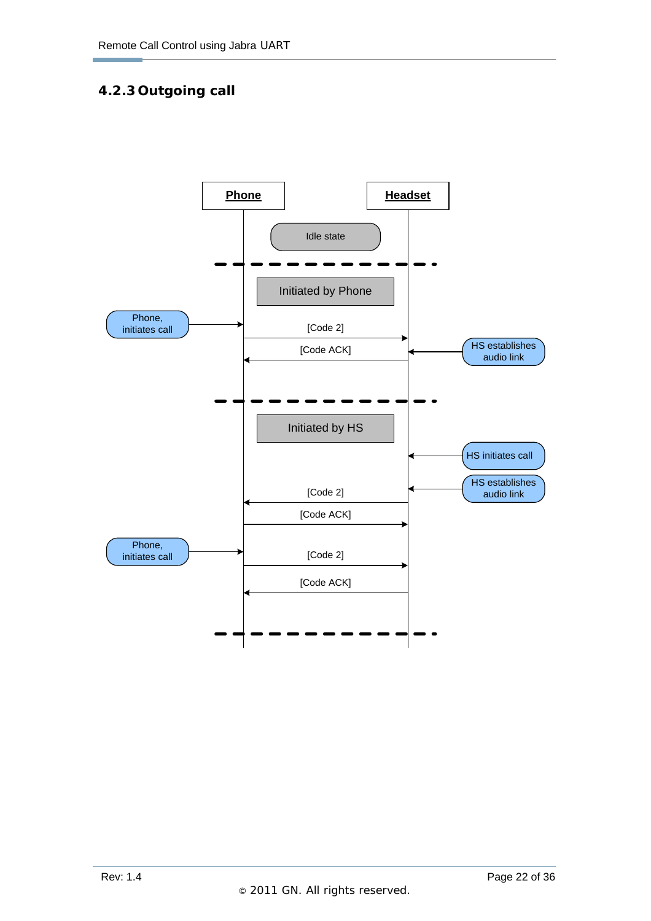# **4.2.3 Outgoing call**

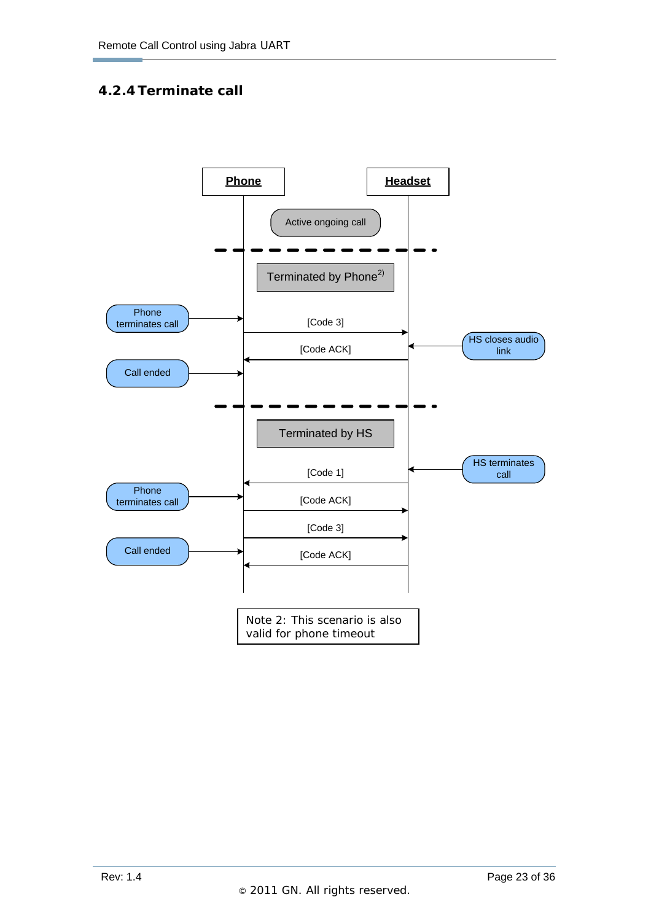## **4.2.4 Terminate call**

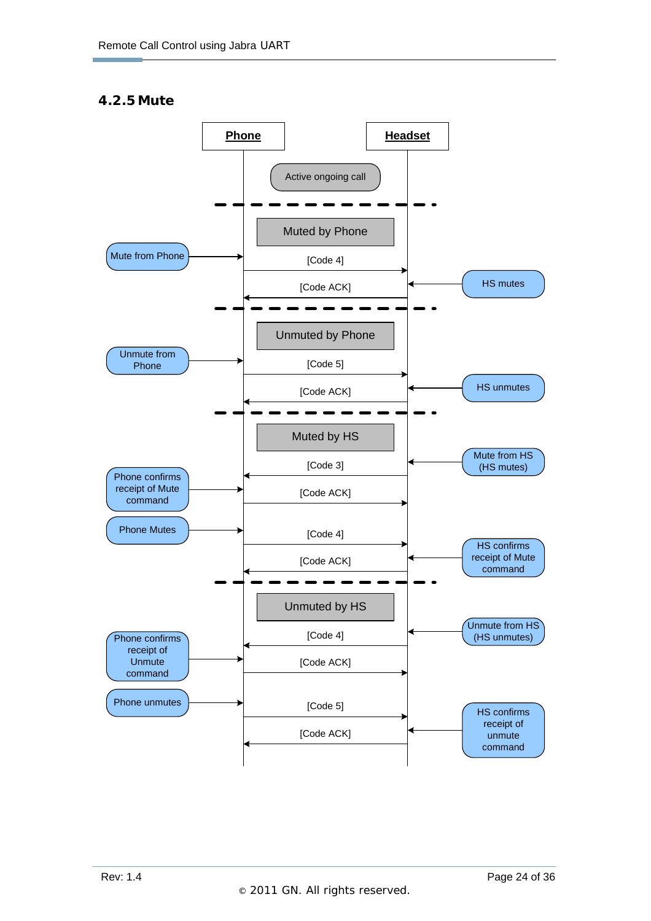#### **4.2.5Mute**

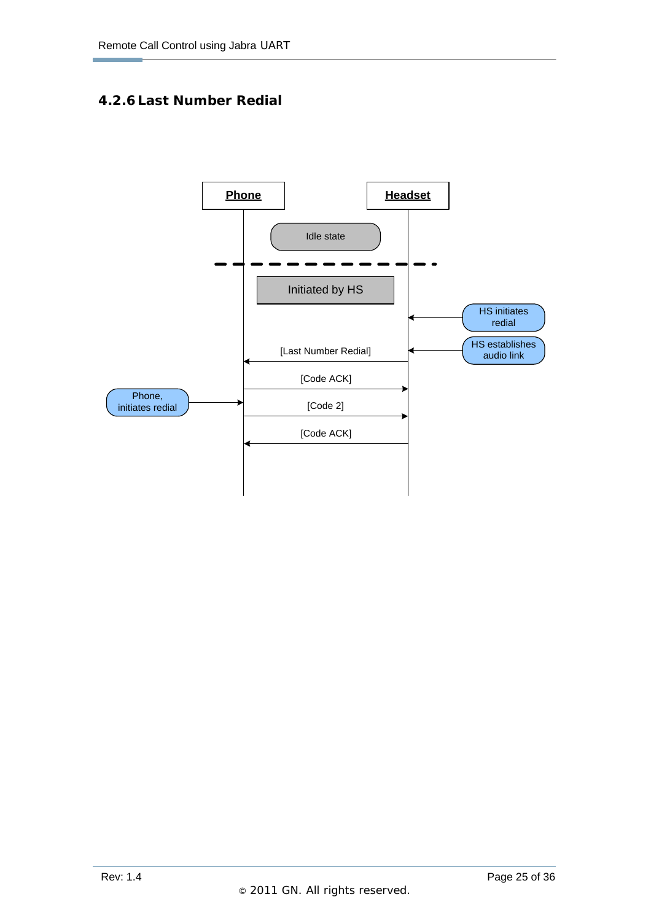## **4.2.6 Last Number Redial**

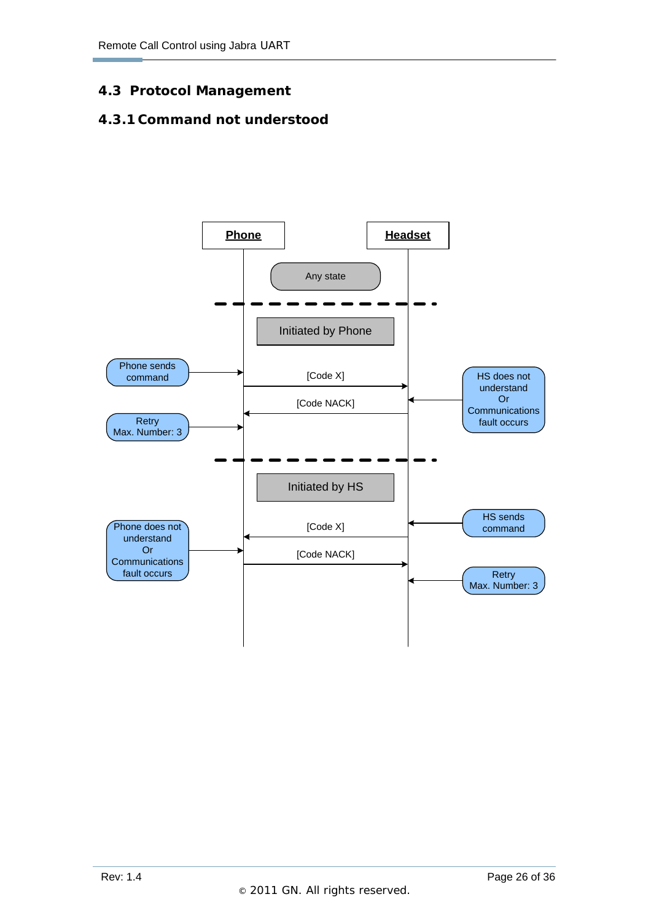## **4.3 Protocol Management**

#### **4.3.1 Command not understood**

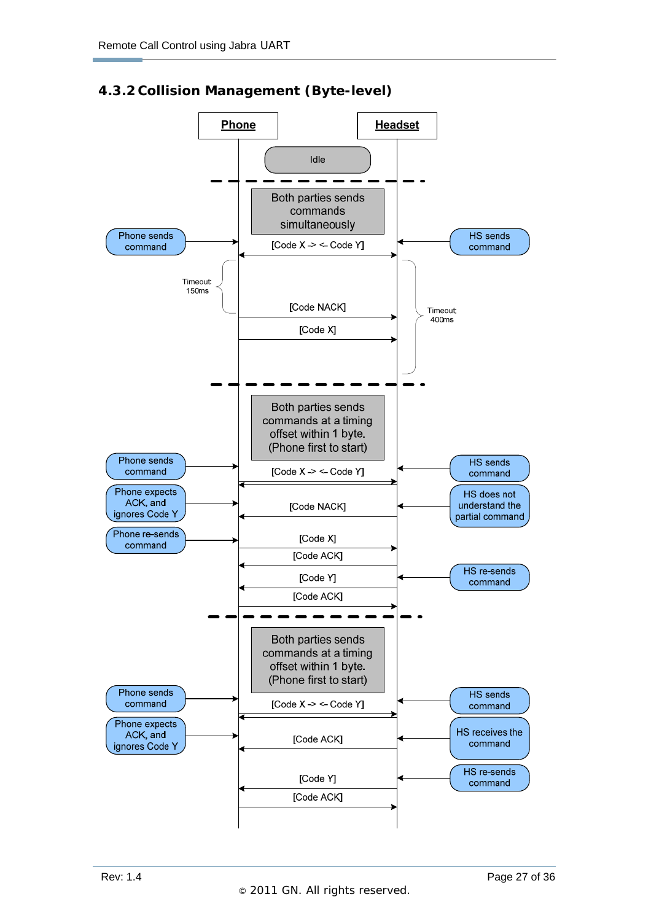

#### **4.3.2 Collision Management (Byte-level)**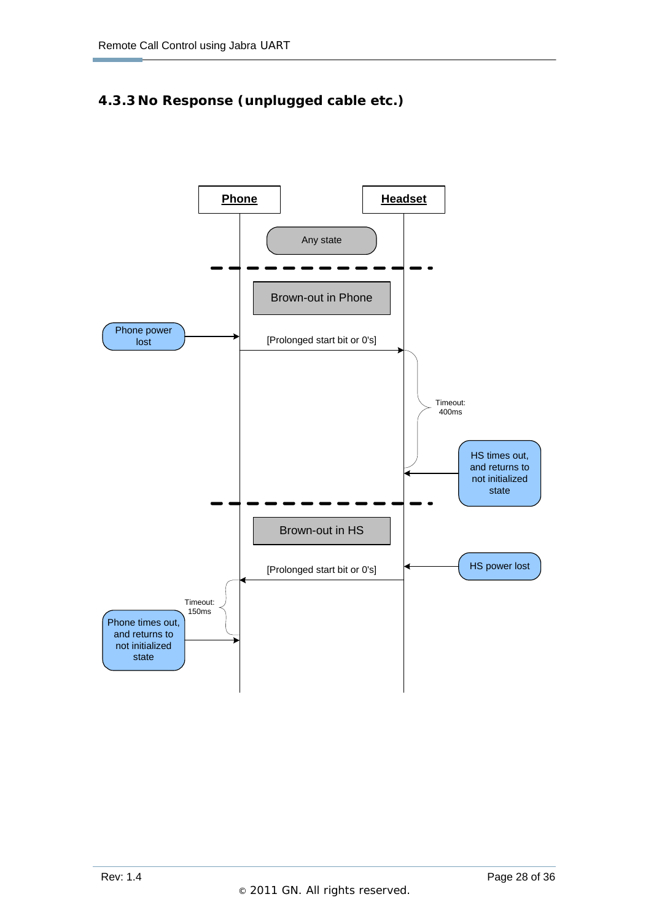# **4.3.3 No Response (unplugged cable etc.)**

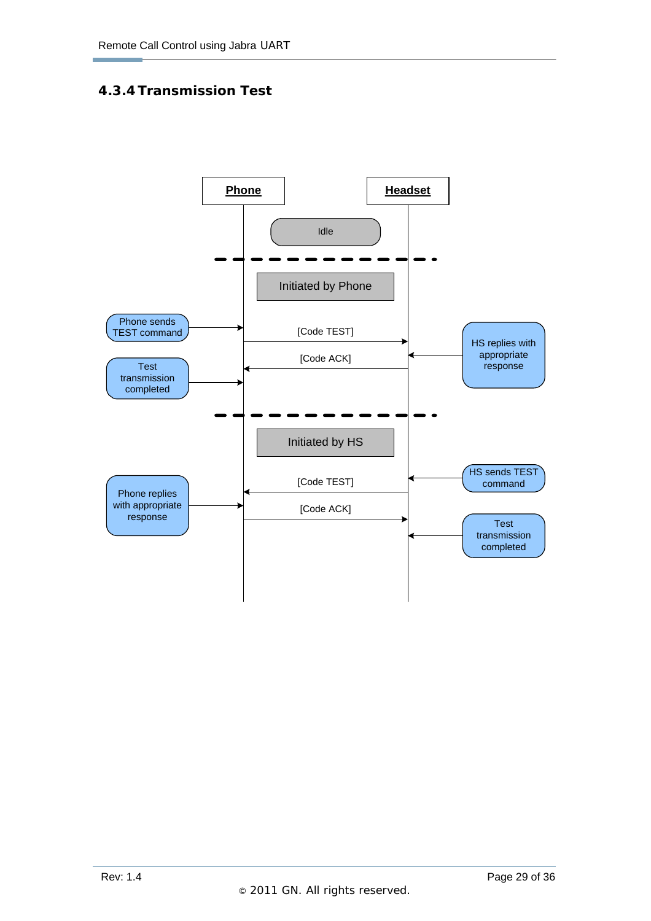#### **4.3.4 Transmission Test**

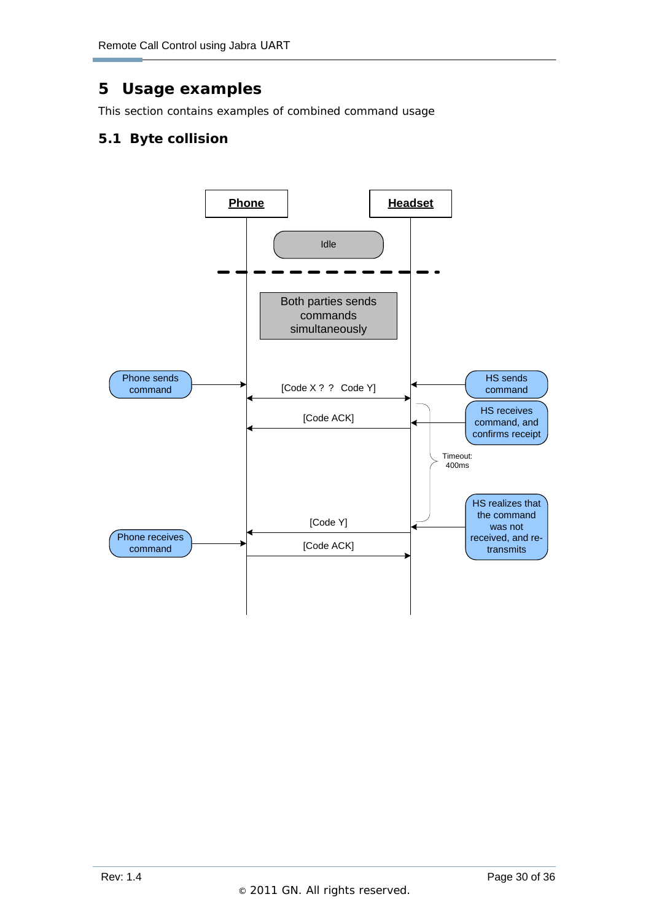# **5 Usage examples**

This section contains examples of combined command usage

# **5.1 Byte collision**

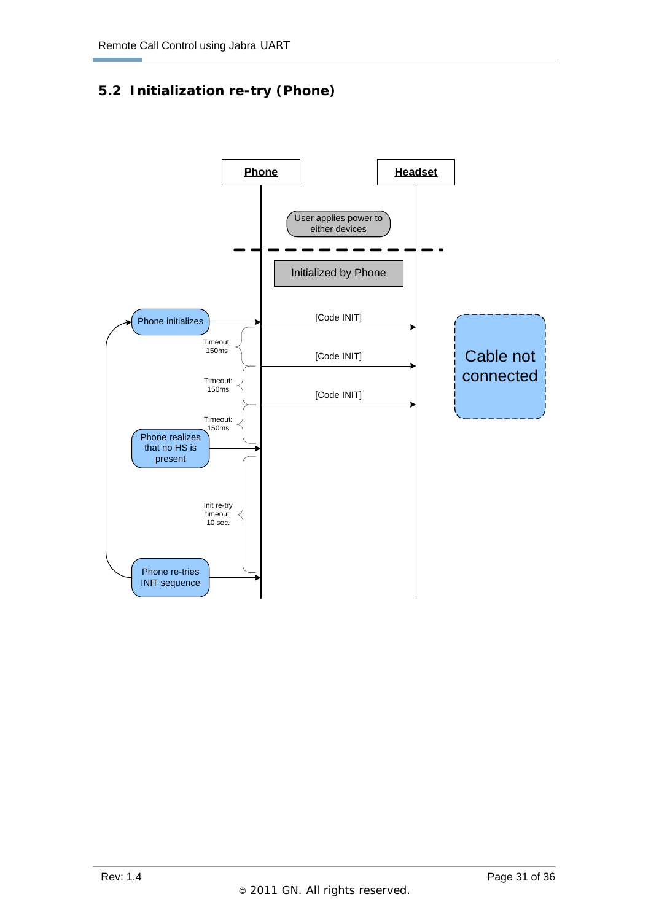# **5.2 Initialization re-try (Phone)**

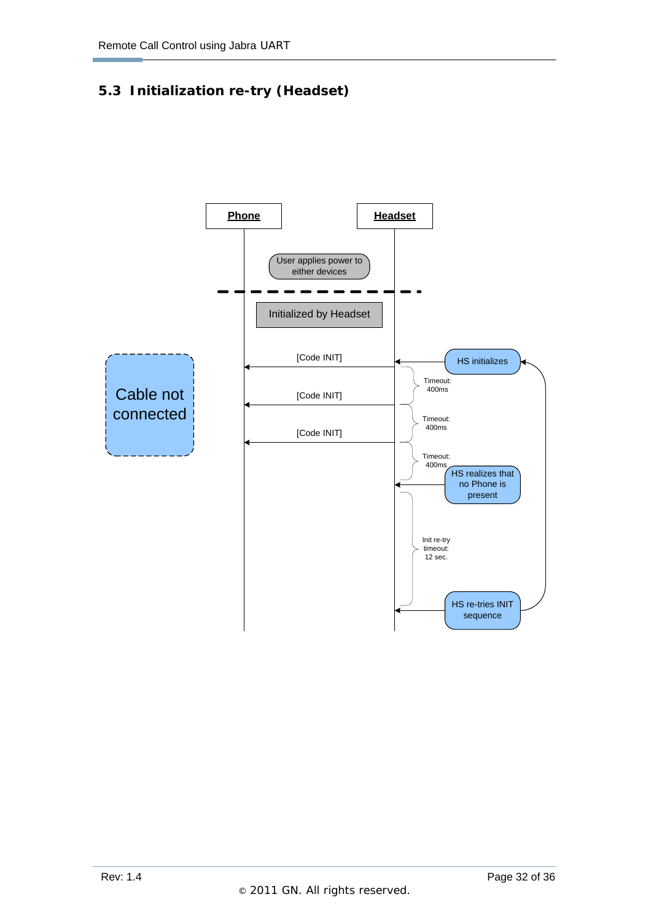# **5.3 Initialization re-try (Headset)**

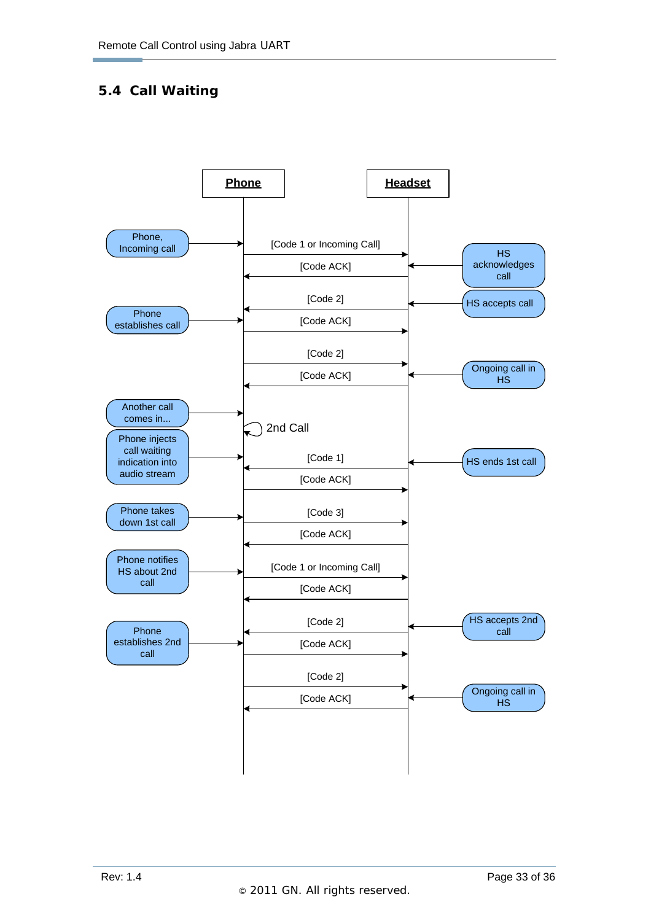# **5.4 Call Waiting**

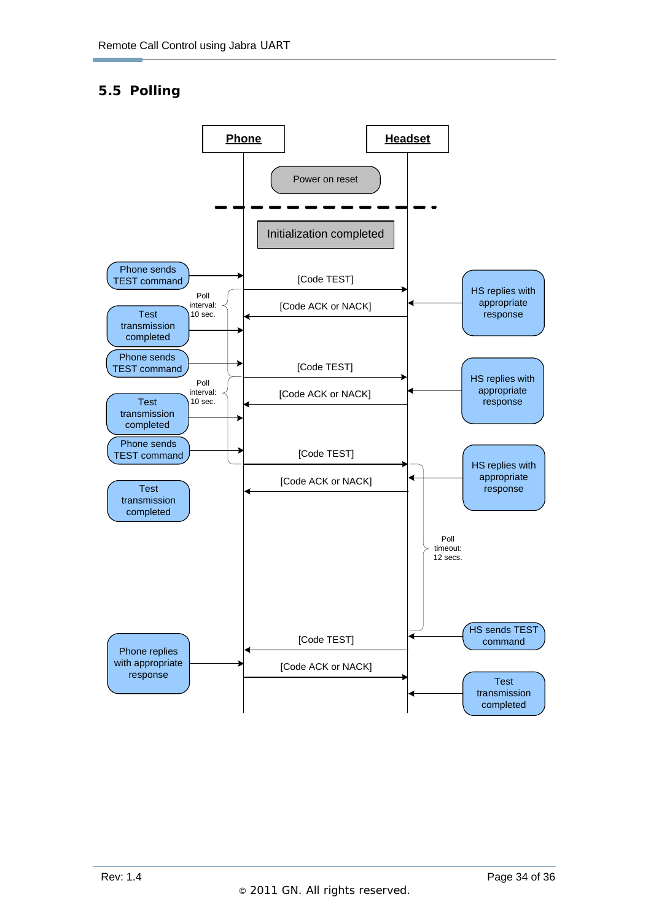# **5.5 Polling**

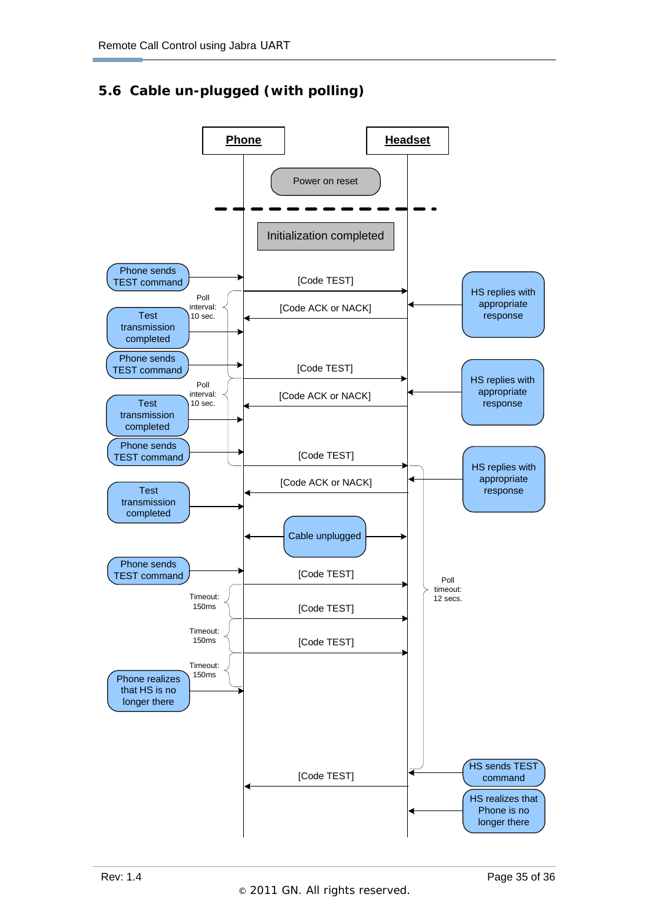# **5.6 Cable un-plugged (with polling)**